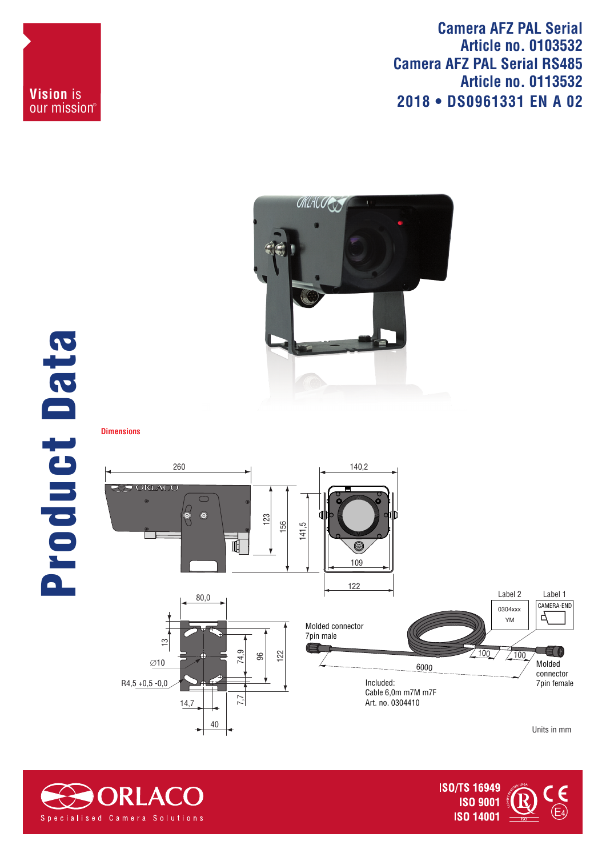**Camera AFZ PAL Serial Article no. 0103532 Camera AFZ PAL Serial RS485 Article no. 0113532 2018 • DS0961331 EN A 02**



## Product Data **Product Data**

**Dimensions**

**Vision** is our mission®